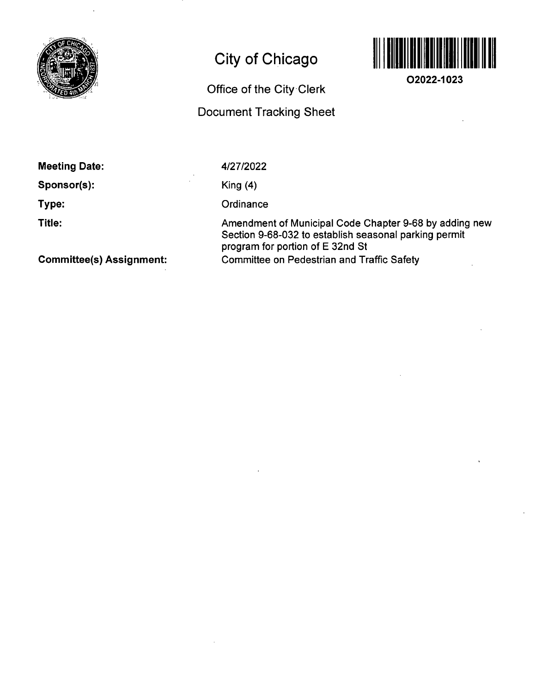

# **City of Chicago**

### **Office of the City Clerk**

## **Document Tracking Sheet**



**O2022-1023** 

**Meeting Date:** 

**Sponsor(s):** 

**Type:** 

**Title:** 

4/27/2022

King (4)

**Ordinance** 

Amendment of Municipal Code Chapter 9-68 by adding new Section 9-68-032 to establish seasonal parking permit program for portion of E 32nd St Committee on Pedestrian and Traffic Safety

**Committee(s) Assignment:**